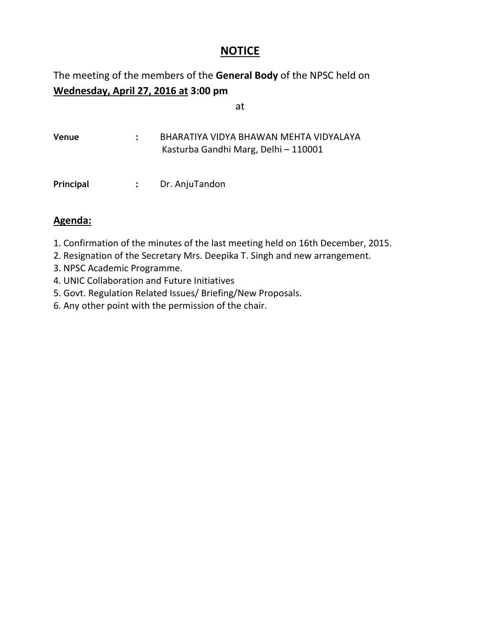# **NOTICE**

# The meeting of the members of the **General Body** of the NPSC held on **Wednesday, April 27, 2016 at 3:00 pm**

at

| Venue | BHARATIYA VIDYA BHAWAN MEHTA VIDYALAYA |
|-------|----------------------------------------|
|       | Kasturba Gandhi Marg, Delhi - 110001   |
|       |                                        |
|       |                                        |

## **Agenda:**

- 1. Confirmation of the minutes of the last meeting held on 16th December, 2015.
- 2. Resignation of the Secretary Mrs. Deepika T. Singh and new arrangement.
- 3. NPSC Academic Programme.
- 4. UNIC Collaboration and Future Initiatives

**Principal :** Dr. AnjuTandon

- 5. Govt. Regulation Related Issues/ Briefing/New Proposals.
- 6. Any other point with the permission of the chair.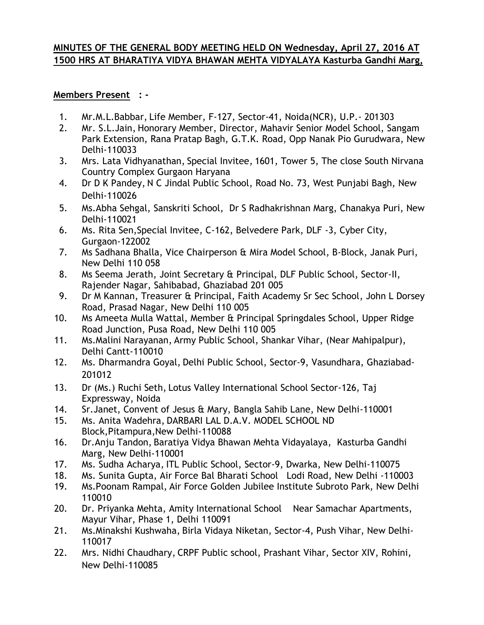## **MINUTES OF THE GENERAL BODY MEETING HELD ON Wednesday, April 27, 2016 AT 1500 HRS AT BHARATIYA VIDYA BHAWAN MEHTA VIDYALAYA Kasturba Gandhi Marg,**

### **Members Present : -**

- 1. Mr.M.L.Babbar, Life Member, F-127, Sector-41, Noida(NCR), U.P.- 201303
- 2. Mr. S.L.Jain, Honorary Member, Director, Mahavir Senior Model School, Sangam Park Extension, Rana Pratap Bagh, G.T.K. Road, Opp Nanak Pio Gurudwara, New Delhi-110033
- 3. Mrs. Lata Vidhyanathan, Special Invitee, 1601, Tower 5, The close South Nirvana Country Complex Gurgaon Haryana
- 4. Dr D K Pandey, N C Jindal Public School, Road No. 73, West Punjabi Bagh, New Delhi-110026
- 5. Ms.Abha Sehgal, Sanskriti School, Dr S Radhakrishnan Marg, Chanakya Puri, New Delhi-110021
- 6. Ms. Rita Sen,Special Invitee, C-162, Belvedere Park, DLF -3, Cyber City, Gurgaon-122002
- 7. Ms Sadhana Bhalla, Vice Chairperson & Mira Model School, B-Block, Janak Puri, New Delhi 110 058
- 8. Ms Seema Jerath, Joint Secretary & Principal, DLF Public School, Sector-II, Rajender Nagar, Sahibabad, Ghaziabad 201 005
- 9. Dr M Kannan, Treasurer & Principal, Faith Academy Sr Sec School, John L Dorsey Road, Prasad Nagar, New Delhi 110 005
- 10. Ms Ameeta Mulla Wattal, Member & Principal Springdales School, Upper Ridge Road Junction, Pusa Road, New Delhi 110 005
- 11. Ms.Malini Narayanan, Army Public School, Shankar Vihar, (Near Mahipalpur), Delhi Cantt-110010
- 12. Ms. Dharmandra Goyal, Delhi Public School, Sector-9, Vasundhara, Ghaziabad-201012
- 13. Dr (Ms.) Ruchi Seth, Lotus Valley International School Sector-126, Taj Expressway, Noida
- 14. Sr.Janet, Convent of Jesus & Mary, Bangla Sahib Lane, New Delhi-110001
- 15. Ms. Anita Wadehra, DARBARI LAL D.A.V. MODEL SCHOOL ND Block,Pitampura,New Delhi-110088
- 16. Dr.Anju Tandon, Baratiya Vidya Bhawan Mehta Vidayalaya, Kasturba Gandhi Marg, New Delhi-110001
- 17. Ms. Sudha Acharya, ITL Public School, Sector-9, Dwarka, New Delhi-110075
- 18. Ms. Sunita Gupta, Air Force Bal Bharati School Lodi Road, New Delhi -110003
- 19. Ms.Poonam Rampal, Air Force Golden Jubilee Institute Subroto Park, New Delhi 110010
- 20. Dr. Priyanka Mehta, Amity International School Near Samachar Apartments, Mayur Vihar, Phase 1, Delhi 110091
- 21. Ms.Minakshi Kushwaha, Birla Vidaya Niketan, Sector-4, Push Vihar, New Delhi-110017
- 22. Mrs. Nidhi Chaudhary, CRPF Public school, Prashant Vihar, Sector XIV, Rohini, New Delhi-110085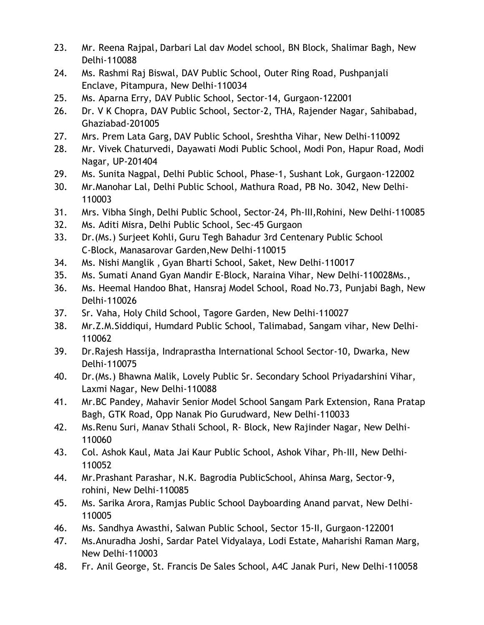- 23. Mr. Reena Rajpal, Darbari Lal dav Model school, BN Block, Shalimar Bagh, New Delhi-110088
- 24. Ms. Rashmi Raj Biswal, DAV Public School, Outer Ring Road, Pushpanjali Enclave, Pitampura, New Delhi-110034
- 25. Ms. Aparna Erry, DAV Public School, Sector-14, Gurgaon-122001
- 26. Dr. V K Chopra, DAV Public School, Sector-2, THA, Rajender Nagar, Sahibabad, Ghaziabad-201005
- 27. Mrs. Prem Lata Garg, DAV Public School, Sreshtha Vihar, New Delhi-110092
- 28. Mr. Vivek Chaturvedi, Dayawati Modi Public School, Modi Pon, Hapur Road, Modi Nagar, UP-201404
- 29. Ms. Sunita Nagpal, Delhi Public School, Phase-1, Sushant Lok, Gurgaon-122002
- 30. Mr.Manohar Lal, Delhi Public School, Mathura Road, PB No. 3042, New Delhi-110003
- 31. Mrs. Vibha Singh, Delhi Public School, Sector-24, Ph-III,Rohini, New Delhi-110085
- 32. Ms. Aditi Misra, Delhi Public School, Sec-45 Gurgaon
- 33. Dr.(Ms.) Surjeet Kohli, Guru Tegh Bahadur 3rd Centenary Public School C-Block, Manasarovar Garden,New Delhi-110015
- 34. Ms. Nishi Manglik , Gyan Bharti School, Saket, New Delhi-110017
- 35. Ms. Sumati Anand Gyan Mandir E-Block, Naraina Vihar, New Delhi-110028Ms.,
- 36. Ms. Heemal Handoo Bhat, Hansraj Model School, Road No.73, Punjabi Bagh, New Delhi-110026
- 37. Sr. Vaha, Holy Child School, Tagore Garden, New Delhi-110027
- 38. Mr.Z.M.Siddiqui, Humdard Public School, Talimabad, Sangam vihar, New Delhi-110062
- 39. Dr.Rajesh Hassija, Indraprastha International School Sector-10, Dwarka, New Delhi-110075
- 40. Dr.(Ms.) Bhawna Malik, Lovely Public Sr. Secondary School Priyadarshini Vihar, Laxmi Nagar, New Delhi-110088
- 41. Mr.BC Pandey, Mahavir Senior Model School Sangam Park Extension, Rana Pratap Bagh, GTK Road, Opp Nanak Pio Gurudward, New Delhi-110033
- 42. Ms.Renu Suri, Manav Sthali School, R- Block, New Rajinder Nagar, New Delhi-110060
- 43. Col. Ashok Kaul, Mata Jai Kaur Public School, Ashok Vihar, Ph-III, New Delhi-110052
- 44. Mr.Prashant Parashar, N.K. Bagrodia PublicSchool, Ahinsa Marg, Sector-9, rohini, New Delhi-110085
- 45. Ms. Sarika Arora, Ramjas Public School Dayboarding Anand parvat, New Delhi-110005
- 46. Ms. Sandhya Awasthi, Salwan Public School, Sector 15-II, Gurgaon-122001
- 47. Ms.Anuradha Joshi, Sardar Patel Vidyalaya, Lodi Estate, Maharishi Raman Marg, New Delhi-110003
- 48. Fr. Anil George, St. Francis De Sales School, A4C Janak Puri, New Delhi-110058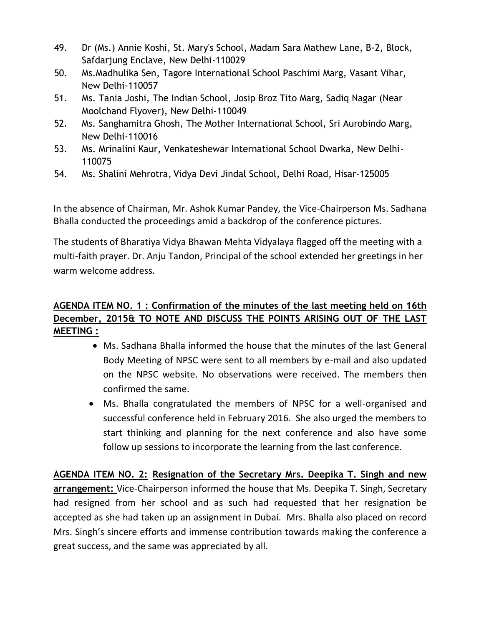- 49. Dr (Ms.) Annie Koshi, St. Mary's School, Madam Sara Mathew Lane, B-2, Block, Safdarjung Enclave, New Delhi-110029
- 50. Ms.Madhulika Sen, Tagore International School Paschimi Marg, Vasant Vihar, New Delhi-110057
- 51. Ms. Tania Joshi, The Indian School, Josip Broz Tito Marg, Sadiq Nagar (Near Moolchand Flyover), New Delhi-110049
- 52. Ms. Sanghamitra Ghosh, The Mother International School, Sri Aurobindo Marg, New Delhi-110016
- 53. Ms. Mrinalini Kaur, Venkateshewar International School Dwarka, New Delhi-110075
- 54. Ms. Shalini Mehrotra, Vidya Devi Jindal School, Delhi Road, Hisar-125005

In the absence of Chairman, Mr. Ashok Kumar Pandey, the Vice-Chairperson Ms. Sadhana Bhalla conducted the proceedings amid a backdrop of the conference pictures.

The students of Bharatiya Vidya Bhawan Mehta Vidyalaya flagged off the meeting with a multi-faith prayer. Dr. Anju Tandon, Principal of the school extended her greetings in her warm welcome address.

## **AGENDA ITEM NO. 1 : Confirmation of the minutes of the last meeting held on 16th December, 2015& TO NOTE AND DISCUSS THE POINTS ARISING OUT OF THE LAST MEETING :**

- Ms. Sadhana Bhalla informed the house that the minutes of the last General Body Meeting of NPSC were sent to all members by e-mail and also updated on the NPSC website. No observations were received. The members then confirmed the same.
- Ms. Bhalla congratulated the members of NPSC for a well-organised and successful conference held in February 2016. She also urged the members to start thinking and planning for the next conference and also have some follow up sessions to incorporate the learning from the last conference.

**AGENDA ITEM NO. 2: Resignation of the Secretary Mrs. Deepika T. Singh and new arrangement:** Vice-Chairperson informed the house that Ms. Deepika T. Singh, Secretary had resigned from her school and as such had requested that her resignation be accepted as she had taken up an assignment in Dubai. Mrs. Bhalla also placed on record Mrs. Singh's sincere efforts and immense contribution towards making the conference a great success, and the same was appreciated by all.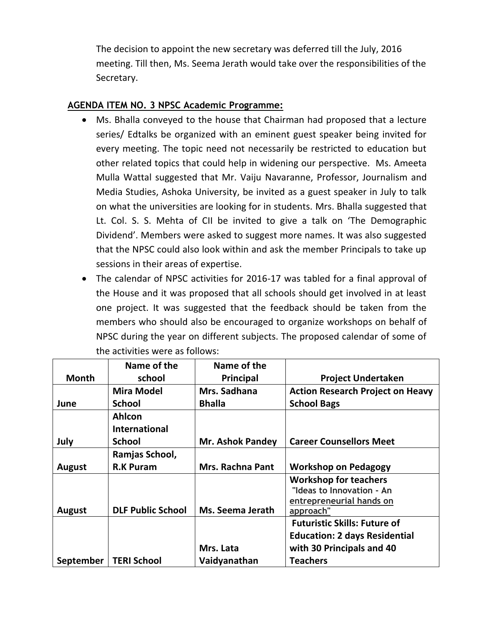The decision to appoint the new secretary was deferred till the July, 2016 meeting. Till then, Ms. Seema Jerath would take over the responsibilities of the Secretary.

#### **AGENDA ITEM NO. 3 NPSC Academic Programme:**

- Ms. Bhalla conveyed to the house that Chairman had proposed that a lecture series/ Edtalks be organized with an eminent guest speaker being invited for every meeting. The topic need not necessarily be restricted to education but other related topics that could help in widening our perspective. Ms. Ameeta Mulla Wattal suggested that Mr. Vaiju Navaranne, Professor, Journalism and Media Studies, Ashoka University, be invited as a guest speaker in July to talk on what the universities are looking for in students. Mrs. Bhalla suggested that Lt. Col. S. S. Mehta of CII be invited to give a talk on 'The Demographic Dividend'. Members were asked to suggest more names. It was also suggested that the NPSC could also look within and ask the member Principals to take up sessions in their areas of expertise.
- The calendar of NPSC activities for 2016-17 was tabled for a final approval of the House and it was proposed that all schools should get involved in at least one project. It was suggested that the feedback should be taken from the members who should also be encouraged to organize workshops on behalf of NPSC during the year on different subjects. The proposed calendar of some of the activities were as follows:

|               | Name of the                           | Name of the             |                                                                                                    |
|---------------|---------------------------------------|-------------------------|----------------------------------------------------------------------------------------------------|
| <b>Month</b>  | school                                | Principal               | <b>Project Undertaken</b>                                                                          |
|               | <b>Mira Model</b>                     | Mrs. Sadhana            | <b>Action Research Project on Heavy</b>                                                            |
| June          | <b>School</b>                         | <b>Bhalla</b>           | <b>School Bags</b>                                                                                 |
|               | <b>Ahlcon</b><br><b>International</b> |                         |                                                                                                    |
| July          | <b>School</b>                         | <b>Mr. Ashok Pandey</b> | <b>Career Counsellors Meet</b>                                                                     |
|               | Ramjas School,                        |                         |                                                                                                    |
| <b>August</b> | <b>R.K Puram</b>                      | <b>Mrs. Rachna Pant</b> | <b>Workshop on Pedagogy</b>                                                                        |
| <b>August</b> | <b>DLF Public School</b>              | Ms. Seema Jerath        | <b>Workshop for teachers</b><br>"Ideas to Innovation - An<br>entrepreneurial hands on<br>approach" |
|               |                                       |                         | <b>Futuristic Skills: Future of</b>                                                                |
|               |                                       |                         | <b>Education: 2 days Residential</b>                                                               |
|               |                                       | Mrs. Lata               | with 30 Principals and 40                                                                          |
| September     | <b>TERI School</b>                    | Vaidyanathan            | <b>Teachers</b>                                                                                    |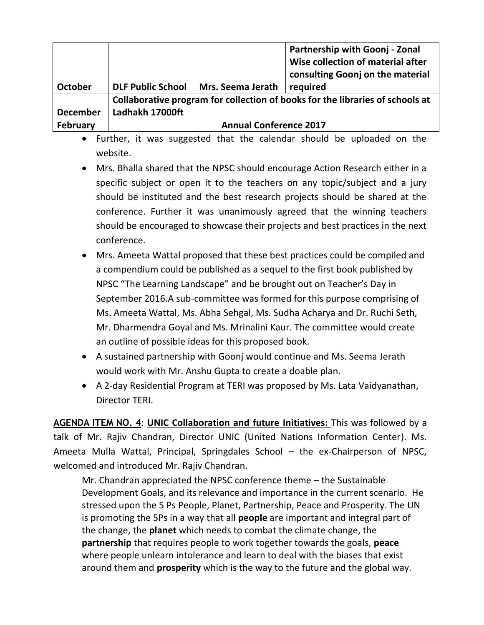|                 |                                                                               |                   | Partnership with Goonj - Zonal<br>Wise collection of material after<br>consulting Goonj on the material |
|-----------------|-------------------------------------------------------------------------------|-------------------|---------------------------------------------------------------------------------------------------------|
| <b>October</b>  | <b>DLF Public School</b>                                                      | Mrs. Seema Jerath | required                                                                                                |
|                 | Collaborative program for collection of books for the libraries of schools at |                   |                                                                                                         |
| <b>December</b> | Ladhakh 17000ft                                                               |                   |                                                                                                         |
| February        | <b>Annual Conference 2017</b>                                                 |                   |                                                                                                         |

- Further, it was suggested that the calendar should be uploaded on the website.
- Mrs. Bhalla shared that the NPSC should encourage Action Research either in a specific subject or open it to the teachers on any topic/subject and a jury should be instituted and the best research projects should be shared at the conference. Further it was unanimously agreed that the winning teachers should be encouraged to showcase their projects and best practices in the next conference.
- Mrs. Ameeta Wattal proposed that these best practices could be compiled and a compendium could be published as a sequel to the first book published by NPSC "The Learning Landscape" and be brought out on Teacher's Day in September 2016.A sub-committee was formed for this purpose comprising of Ms. Ameeta Wattal, Ms. Abha Sehgal, Ms. Sudha Acharya and Dr. Ruchi Seth, Mr. Dharmendra Goyal and Ms. Mrinalini Kaur. The committee would create an outline of possible ideas for this proposed book.
- A sustained partnership with Goonj would continue and Ms. Seema Jerath would work with Mr. Anshu Gupta to create a doable plan.
- A 2-day Residential Program at TERI was proposed by Ms. Lata Vaidyanathan, Director TERI.

AGENDA ITEM NO. 4: UNIC Collaboration and future Initiatives: This was followed by a talk of Mr. Rajiv Chandran, Director UNIC (United Nations Information Center). Ms. Ameeta Mulla Wattal, Principal, Springdales School – the ex-Chairperson of NPSC, welcomed and introduced Mr. Rajiv Chandran.

Mr. Chandran appreciated the NPSC conference theme – the Sustainable Development Goals, and its relevance and importance in the current scenario. He stressed upon the 5 Ps People, Planet, Partnership, Peace and Prosperity. The UN is promoting the 5Ps in a way that all **people** are important and integral part of the change, the **planet** which needs to combat the climate change, the **partnership** that requires people to work together towards the goals, **peace** where people unlearn intolerance and learn to deal with the biases that exist around them and **prosperity** which is the way to the future and the global way.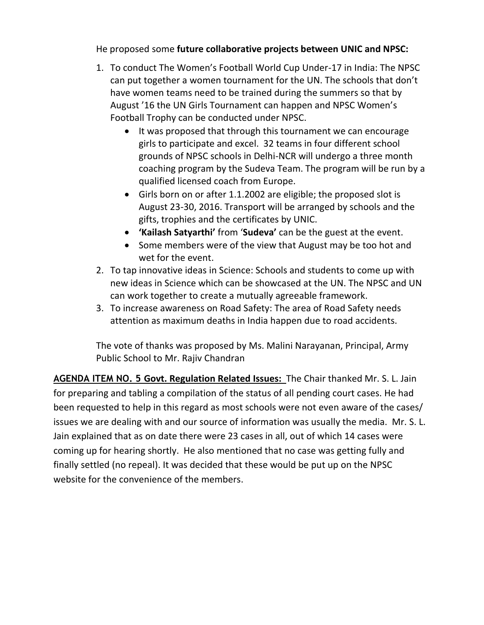He proposed some **future collaborative projects between UNIC and NPSC:**

- 1. To conduct The Women's Football World Cup Under-17 in India: The NPSC can put together a women tournament for the UN. The schools that don't have women teams need to be trained during the summers so that by August '16 the UN Girls Tournament can happen and NPSC Women's Football Trophy can be conducted under NPSC.
	- It was proposed that through this tournament we can encourage girls to participate and excel. 32 teams in four different school grounds of NPSC schools in Delhi-NCR will undergo a three month coaching program by the Sudeva Team. The program will be run by a qualified licensed coach from Europe.
	- Girls born on or after 1.1.2002 are eligible; the proposed slot is August 23-30, 2016. Transport will be arranged by schools and the gifts, trophies and the certificates by UNIC.
	- **'Kailash Satyarthi'** from '**Sudeva'** can be the guest at the event.
	- Some members were of the view that August may be too hot and wet for the event.
- 2. To tap innovative ideas in Science: Schools and students to come up with new ideas in Science which can be showcased at the UN. The NPSC and UN can work together to create a mutually agreeable framework.
- 3. To increase awareness on Road Safety: The area of Road Safety needs attention as maximum deaths in India happen due to road accidents.

The vote of thanks was proposed by Ms. Malini Narayanan, Principal, Army Public School to Mr. Rajiv Chandran

**AGENDA ITEM NO. 5 Govt. Regulation Related Issues:** The Chair thanked Mr. S. L. Jain for preparing and tabling a compilation of the status of all pending court cases. He had been requested to help in this regard as most schools were not even aware of the cases/ issues we are dealing with and our source of information was usually the media. Mr. S. L. Jain explained that as on date there were 23 cases in all, out of which 14 cases were coming up for hearing shortly. He also mentioned that no case was getting fully and finally settled (no repeal). It was decided that these would be put up on the NPSC website for the convenience of the members.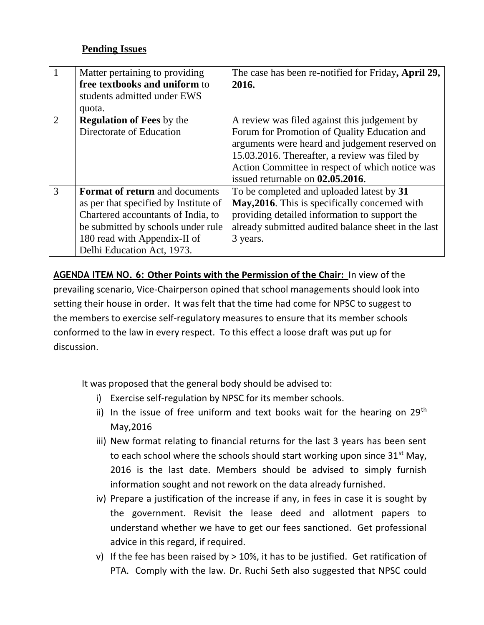## **Pending Issues**

|                | Matter pertaining to providing<br>free textbooks and uniform to<br>students admitted under EWS<br>quota. | The case has been re-notified for Friday, April 29,<br>2016.                                                                                                                                                                           |
|----------------|----------------------------------------------------------------------------------------------------------|----------------------------------------------------------------------------------------------------------------------------------------------------------------------------------------------------------------------------------------|
| $\overline{2}$ | <b>Regulation of Fees by the</b>                                                                         | A review was filed against this judgement by                                                                                                                                                                                           |
|                | Directorate of Education                                                                                 | Forum for Promotion of Quality Education and<br>arguments were heard and judgement reserved on<br>15.03.2016. Thereafter, a review was filed by<br>Action Committee in respect of which notice was<br>issued returnable on 02.05.2016. |
| 3              | <b>Format of return and documents</b>                                                                    | To be completed and uploaded latest by 31                                                                                                                                                                                              |
|                | as per that specified by Institute of                                                                    | May, 2016. This is specifically concerned with                                                                                                                                                                                         |
|                | Chartered accountants of India, to                                                                       | providing detailed information to support the                                                                                                                                                                                          |
|                | be submitted by schools under rule                                                                       | already submitted audited balance sheet in the last                                                                                                                                                                                    |
|                | 180 read with Appendix-II of                                                                             | 3 years.                                                                                                                                                                                                                               |
|                | Delhi Education Act, 1973.                                                                               |                                                                                                                                                                                                                                        |

**AGENDA ITEM NO. 6: Other Points with the Permission of the Chair:** In view of the prevailing scenario, Vice-Chairperson opined that school managements should look into setting their house in order. It was felt that the time had come for NPSC to suggest to the members to exercise self-regulatory measures to ensure that its member schools conformed to the law in every respect. To this effect a loose draft was put up for discussion.

It was proposed that the general body should be advised to:

- i) Exercise self-regulation by NPSC for its member schools.
- ii) In the issue of free uniform and text books wait for the hearing on  $29<sup>th</sup>$ May,2016
- iii) New format relating to financial returns for the last 3 years has been sent to each school where the schools should start working upon since  $31<sup>st</sup>$  May, 2016 is the last date. Members should be advised to simply furnish information sought and not rework on the data already furnished.
- iv) Prepare a justification of the increase if any, in fees in case it is sought by the government. Revisit the lease deed and allotment papers to understand whether we have to get our fees sanctioned. Get professional advice in this regard, if required.
- v) If the fee has been raised by > 10%, it has to be justified. Get ratification of PTA. Comply with the law. Dr. Ruchi Seth also suggested that NPSC could